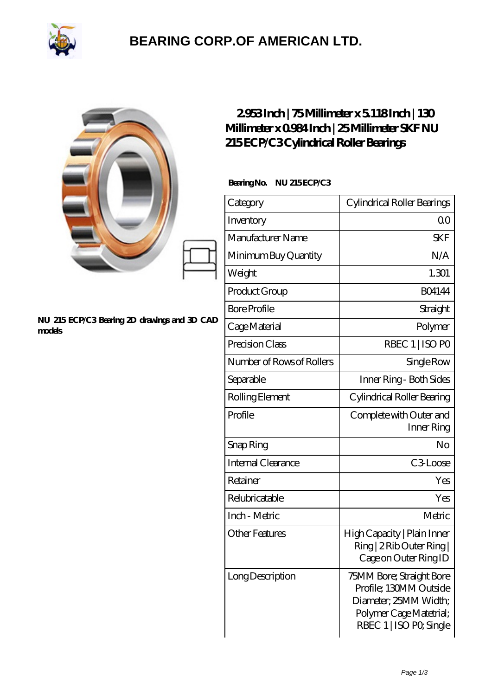

## **[BEARING CORP.OF AMERICAN LTD.](https://2urt-utz.de)**

|                                                        | 2953Inch   75Millimeter x 5118Inch   130<br>Millimeter x 0984 Inch   25 Millimeter SKF NU<br>215ECP/C3Cylindrical Roller Bearings |                                                                                                                                   |
|--------------------------------------------------------|-----------------------------------------------------------------------------------------------------------------------------------|-----------------------------------------------------------------------------------------------------------------------------------|
| NU 215 ECP/C3 Bearing 2D drawings and 3D CAD<br>models | BearingNo.<br><b>NU 215ECP/C3</b>                                                                                                 |                                                                                                                                   |
|                                                        | Category                                                                                                                          | Cylindrical Roller Bearings                                                                                                       |
|                                                        | Inventory                                                                                                                         | 0 <sub>0</sub>                                                                                                                    |
|                                                        | Manufacturer Name                                                                                                                 | <b>SKF</b>                                                                                                                        |
|                                                        | Minimum Buy Quantity                                                                                                              | N/A                                                                                                                               |
|                                                        | Weight                                                                                                                            | 1.301                                                                                                                             |
|                                                        | Product Group                                                                                                                     | <b>BO4144</b>                                                                                                                     |
|                                                        | <b>Bore Profile</b>                                                                                                               | Straight                                                                                                                          |
|                                                        | Cage Material                                                                                                                     | Polymer                                                                                                                           |
|                                                        | Precision Class                                                                                                                   | RBEC 1   ISO PO                                                                                                                   |
|                                                        | Number of Rows of Rollers                                                                                                         | Single Row                                                                                                                        |
|                                                        | Separable                                                                                                                         | Inner Ring - Both Sides                                                                                                           |
|                                                        | Rolling Element                                                                                                                   | Cylindrical Roller Bearing                                                                                                        |
|                                                        | Profile                                                                                                                           | Complete with Outer and<br>Inner Ring                                                                                             |
|                                                        | Snap Ring                                                                                                                         | No                                                                                                                                |
|                                                        | Internal Clearance                                                                                                                | C3Loose                                                                                                                           |
|                                                        | Retainer                                                                                                                          | Yes                                                                                                                               |
|                                                        | Relubricatable                                                                                                                    | Yes                                                                                                                               |
|                                                        | Inch - Metric                                                                                                                     | Metric                                                                                                                            |
|                                                        | <b>Other Features</b>                                                                                                             | High Capacity   Plain Inner<br>Ring   2 Rib Outer Ring  <br>Cage on Outer Ring ID                                                 |
|                                                        | Long Description                                                                                                                  | 75MM Bore; Straight Bore<br>Profile; 130MM Outside<br>Diameter; 25MM Width;<br>Polymer Cage Matetrial;<br>RBEC 1   ISO PO, Single |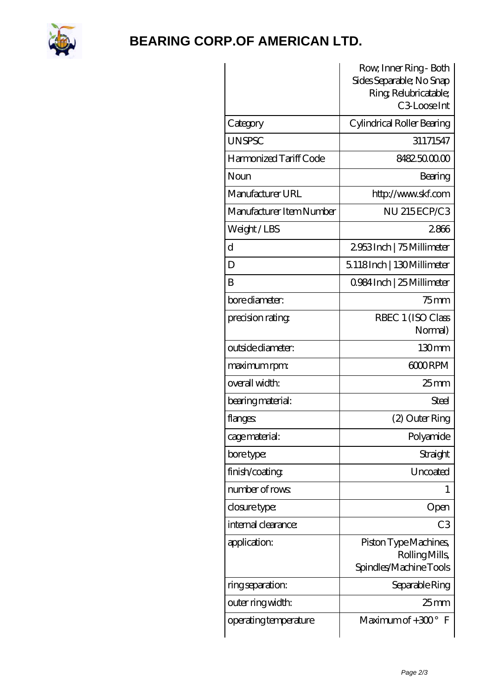

## **[BEARING CORP.OF AMERICAN LTD.](https://2urt-utz.de)**

|                          | Row, Inner Ring - Both<br>Sides Separable; No Snap               |
|--------------------------|------------------------------------------------------------------|
|                          | Ring, Relubricatable;<br>C <sub>3</sub> Loose Int                |
| Category                 | Cylindrical Roller Bearing                                       |
| <b>UNSPSC</b>            | 31171547                                                         |
| Harmonized Tariff Code   | 8482.5000.00                                                     |
| Noun                     | Bearing                                                          |
| Manufacturer URL         | http://www.skf.com                                               |
| Manufacturer Item Number | NU 215ECP/C3                                                     |
| Weight/LBS               | 2866                                                             |
| $\mathbf d$              | 2953Inch   75 Millimeter                                         |
| D                        | 5.118Inch   130Millimeter                                        |
| B                        | 0.984 Inch   25 Millimeter                                       |
| bore diameter:           | $75$ mm                                                          |
| precision rating         | RBEC 1 (ISO Class<br>Normal)                                     |
| outside diameter:        | 130mm                                                            |
| maximum rpm:             | 6000RPM                                                          |
| overall width:           | $25 \text{mm}$                                                   |
| bearing material:        | Steel                                                            |
| flanges:                 | (2) Outer Ring                                                   |
| cage material:           | Polyamide                                                        |
| bore type:               | Straight                                                         |
| finish/coating           | Uncoated                                                         |
| number of rows           |                                                                  |
| closure type:            | Open                                                             |
| internal clearance:      | C <sub>3</sub>                                                   |
| application:             | Piston Type Machines,<br>Rolling Mills<br>Spindles/Machine Tools |
| ring separation:         | Separable Ring                                                   |
| outer ring width:        | 25 <sub>mm</sub>                                                 |
| operating temperature    | Maximum of $+30^\circ$<br>$\mathbb{F}$                           |